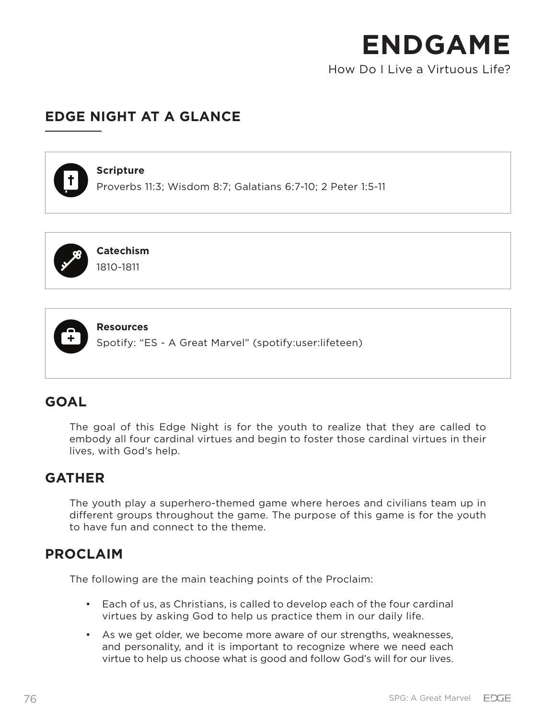How Do I Live a Virtuous Life?

# **EDGE NIGHT AT A GLANCE**

#### **Scripture**

Proverbs 11:3; Wisdom 8:7; Galatians 6:7-10; 2 Peter 1:5-11



**Catechism** 1810-1811



**Resources**

Spotify: "ES - A Great Marvel" (spotify:user:lifeteen)

# **GOAL**

The goal of this Edge Night is for the youth to realize that they are called to embody all four cardinal virtues and begin to foster those cardinal virtues in their lives, with God's help.

# **GATHER**

The youth play a superhero-themed game where heroes and civilians team up in different groups throughout the game. The purpose of this game is for the youth to have fun and connect to the theme.

## **PROCLAIM**

The following are the main teaching points of the Proclaim:

- Each of us, as Christians, is called to develop each of the four cardinal virtues by asking God to help us practice them in our daily life.
- As we get older, we become more aware of our strengths, weaknesses, and personality, and it is important to recognize where we need each virtue to help us choose what is good and follow God's will for our lives.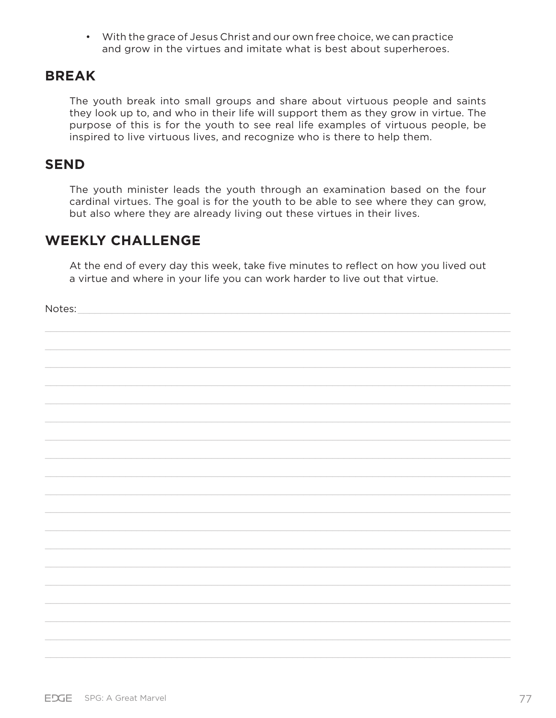• With the grace of Jesus Christ and our own free choice, we can practice and grow in the virtues and imitate what is best about superheroes.

## **BREAK**

The youth break into small groups and share about virtuous people and saints they look up to, and who in their life will support them as they grow in virtue. The purpose of this is for the youth to see real life examples of virtuous people, be inspired to live virtuous lives, and recognize who is there to help them.

## **SEND**

The youth minister leads the youth through an examination based on the four cardinal virtues. The goal is for the youth to be able to see where they can grow, but also where they are already living out these virtues in their lives.

## **WEEKLY CHALLENGE**

At the end of every day this week, take five minutes to reflect on how you lived out a virtue and where in your life you can work harder to live out that virtue.

Notes:  $\Box$ 

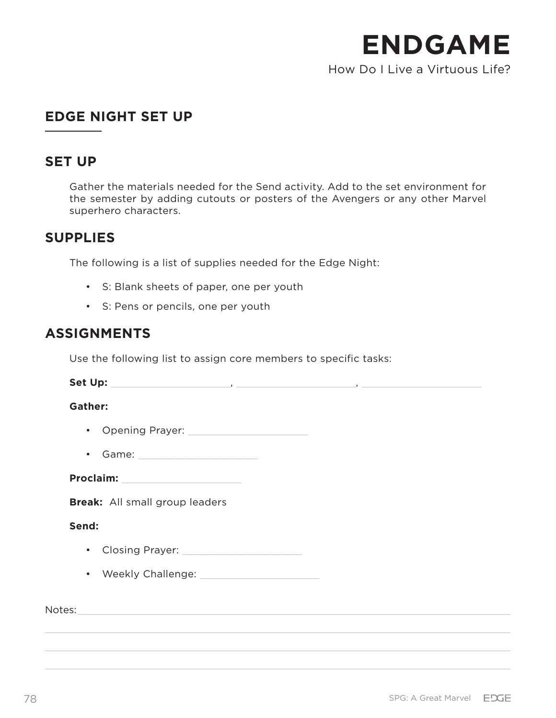How Do I Live a Virtuous Life?

# **EDGE NIGHT SET UP**

## **SET UP**

Gather the materials needed for the Send activity. Add to the set environment for the semester by adding cutouts or posters of the Avengers or any other Marvel superhero characters.

## **SUPPLIES**

The following is a list of supplies needed for the Edge Night:

- S: Blank sheets of paper, one per youth
- S: Pens or pencils, one per youth

## **ASSIGNMENTS**

Use the following list to assign core members to specific tasks:

**Set Up:** \_\_\_\_\_\_\_\_\_\_\_\_\_\_\_\_\_\_\_\_\_, \_\_\_\_\_\_\_\_\_\_\_\_\_\_\_\_\_\_\_\_\_, \_\_\_\_\_\_\_\_\_\_\_\_\_\_\_\_\_\_\_\_\_ **Gather:** • Opening Prayer: \_\_\_\_\_\_\_\_\_\_\_\_\_\_\_\_\_\_\_\_\_ • Game: Proclaim: **Break:** All small group leaders **Send:** • Closing Prayer: \_\_\_\_\_\_\_\_\_\_\_\_\_\_\_\_\_\_\_\_\_ • Weekly Challenge: \_\_\_\_\_\_\_\_\_\_\_\_\_\_\_\_\_\_\_\_\_

Notes: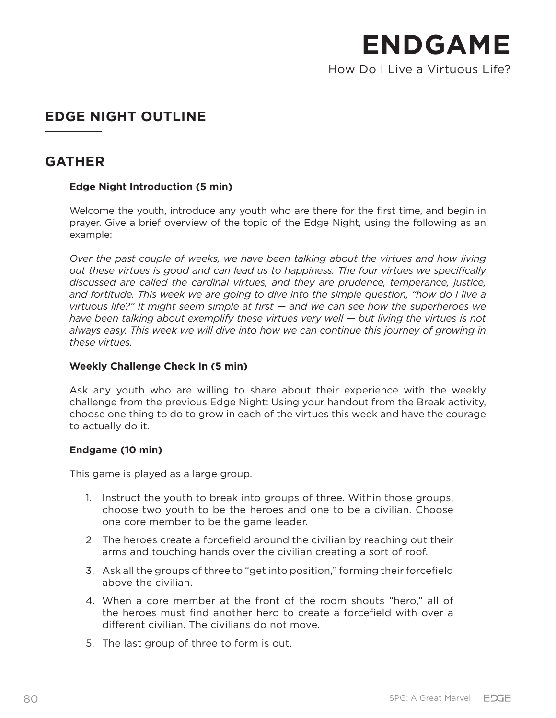How Do I Live a Virtuous Life?

# **EDGE NIGHT OUTLINE**

## **GATHER**

## **Edge Night Introduction (5 min)**

Welcome the youth, introduce any youth who are there for the first time, and begin in prayer. Give a brief overview of the topic of the Edge Night, using the following as an example:

*Over the past couple of weeks, we have been talking about the virtues and how living out these virtues is good and can lead us to happiness. The four virtues we specifically discussed are called the cardinal virtues, and they are prudence, temperance, justice, and fortitude. This week we are going to dive into the simple question, "how do I live a virtuous life?" It might seem simple at first — and we can see how the superheroes we have been talking about exemplify these virtues very well — but living the virtues is not always easy. This week we will dive into how we can continue this journey of growing in these virtues.* 

## **Weekly Challenge Check In (5 min)**

Ask any youth who are willing to share about their experience with the weekly challenge from the previous Edge Night: Using your handout from the Break activity, choose one thing to do to grow in each of the virtues this week and have the courage to actually do it.

#### **Endgame (10 min)**

This game is played as a large group.

- 1. Instruct the youth to break into groups of three. Within those groups, choose two youth to be the heroes and one to be a civilian. Choose one core member to be the game leader.
- 2. The heroes create a forcefield around the civilian by reaching out their arms and touching hands over the civilian creating a sort of roof.
- 3. Ask all the groups of three to "get into position," forming their forcefield above the civilian.
- 4. When a core member at the front of the room shouts "hero," all of the heroes must find another hero to create a forcefield with over a different civilian. The civilians do not move.
- 5. The last group of three to form is out.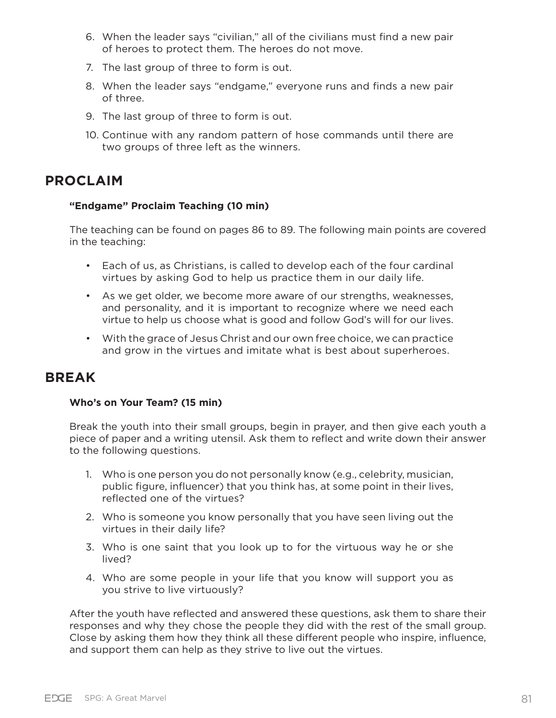- 6. When the leader says "civilian," all of the civilians must find a new pair of heroes to protect them. The heroes do not move.
- 7. The last group of three to form is out.
- 8. When the leader says "endgame," everyone runs and finds a new pair of three.
- 9. The last group of three to form is out.
- 10. Continue with any random pattern of hose commands until there are two groups of three left as the winners.

# **PROCLAIM**

### **"Endgame" Proclaim Teaching (10 min)**

The teaching can be found on pages 86 to 89. The following main points are covered in the teaching:

- Each of us, as Christians, is called to develop each of the four cardinal virtues by asking God to help us practice them in our daily life.
- As we get older, we become more aware of our strengths, weaknesses, and personality, and it is important to recognize where we need each virtue to help us choose what is good and follow God's will for our lives.
- With the grace of Jesus Christ and our own free choice, we can practice and grow in the virtues and imitate what is best about superheroes.

## **BREAK**

## **Who's on Your Team? (15 min)**

Break the youth into their small groups, begin in prayer, and then give each youth a piece of paper and a writing utensil. Ask them to reflect and write down their answer to the following questions.

- 1. Who is one person you do not personally know (e.g., celebrity, musician, public figure, influencer) that you think has, at some point in their lives, reflected one of the virtues?
- 2. Who is someone you know personally that you have seen living out the virtues in their daily life?
- 3. Who is one saint that you look up to for the virtuous way he or she lived?
- 4. Who are some people in your life that you know will support you as you strive to live virtuously?

After the youth have reflected and answered these questions, ask them to share their responses and why they chose the people they did with the rest of the small group. Close by asking them how they think all these different people who inspire, influence, and support them can help as they strive to live out the virtues.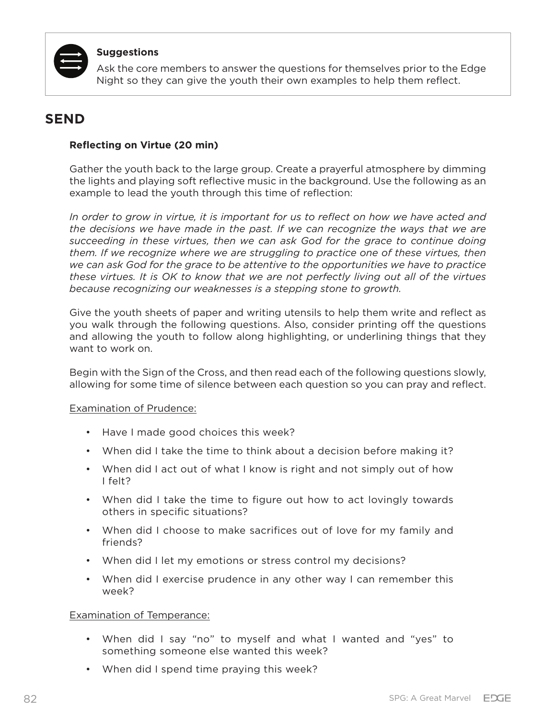

#### **Suggestions**

Ask the core members to answer the questions for themselves prior to the Edge Night so they can give the youth their own examples to help them reflect.

## **SEND**

#### **Reflecting on Virtue (20 min)**

Gather the youth back to the large group. Create a prayerful atmosphere by dimming the lights and playing soft reflective music in the background. Use the following as an example to lead the youth through this time of reflection:

*In order to grow in virtue, it is important for us to reflect on how we have acted and the decisions we have made in the past. If we can recognize the ways that we are succeeding in these virtues, then we can ask God for the grace to continue doing them. If we recognize where we are struggling to practice one of these virtues, then we can ask God for the grace to be attentive to the opportunities we have to practice these virtues. It is OK to know that we are not perfectly living out all of the virtues because recognizing our weaknesses is a stepping stone to growth.* 

Give the youth sheets of paper and writing utensils to help them write and reflect as you walk through the following questions. Also, consider printing off the questions and allowing the youth to follow along highlighting, or underlining things that they want to work on.

Begin with the Sign of the Cross, and then read each of the following questions slowly, allowing for some time of silence between each question so you can pray and reflect.

#### Examination of Prudence:

- Have I made good choices this week?
- When did I take the time to think about a decision before making it?
- When did I act out of what I know is right and not simply out of how I felt?
- When did I take the time to figure out how to act lovingly towards others in specific situations?
- When did I choose to make sacrifices out of love for my family and friends?
- When did I let my emotions or stress control my decisions?
- When did I exercise prudence in any other way I can remember this week?

#### Examination of Temperance:

- When did I say "no" to myself and what I wanted and "yes" to something someone else wanted this week?
- When did I spend time praying this week?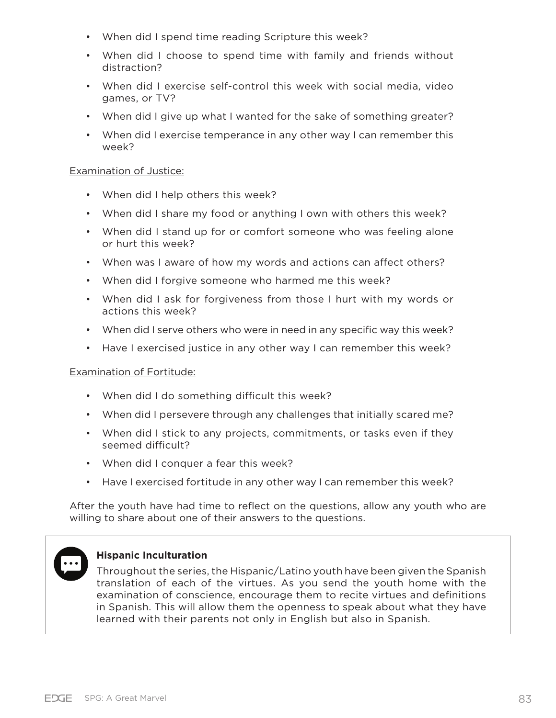- When did I spend time reading Scripture this week?
- When did I choose to spend time with family and friends without distraction?
- When did I exercise self-control this week with social media, video games, or TV?
- When did I give up what I wanted for the sake of something greater?
- When did I exercise temperance in any other way I can remember this week?

#### Examination of Justice:

- When did I help others this week?
- When did I share my food or anything I own with others this week?
- When did I stand up for or comfort someone who was feeling alone or hurt this week?
- When was I aware of how my words and actions can affect others?
- When did I forgive someone who harmed me this week?
- When did I ask for forgiveness from those I hurt with my words or actions this week?
- When did I serve others who were in need in any specific way this week?
- Have I exercised justice in any other way I can remember this week?

#### Examination of Fortitude:

- When did I do something difficult this week?
- When did I persevere through any challenges that initially scared me?
- When did I stick to any projects, commitments, or tasks even if they seemed difficult?
- When did I conquer a fear this week?
- Have I exercised fortitude in any other way I can remember this week?

After the youth have had time to reflect on the questions, allow any youth who are willing to share about one of their answers to the questions.



## **Hispanic Inculturation**

Throughout the series, the Hispanic/Latino youth have been given the Spanish translation of each of the virtues. As you send the youth home with the examination of conscience, encourage them to recite virtues and definitions in Spanish. This will allow them the openness to speak about what they have learned with their parents not only in English but also in Spanish.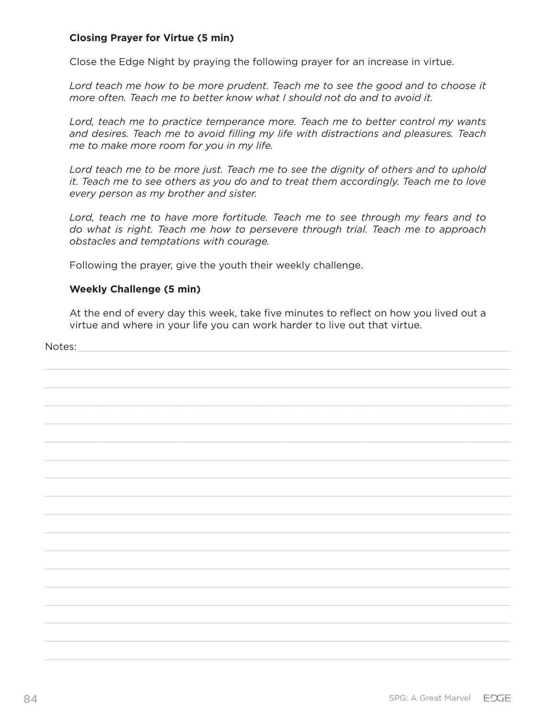#### **Closing Prayer for Virtue (5 min)**

Close the Edge Night by praying the following prayer for an increase in virtue.

Lord teach me how to be more prudent. Teach me to see the good and to choose it *more often. Teach me to better know what I should not do and to avoid it.*

Lord, teach me to practice temperance more. Teach me to better control my wants *and desires. Teach me to avoid filling my life with distractions and pleasures. Teach me to make more room for you in my life.*

*Lord teach me to be more just. Teach me to see the dignity of others and to uphold it. Teach me to see others as you do and to treat them accordingly. Teach me to love every person as my brother and sister.*

*Lord, teach me to have more fortitude. Teach me to see through my fears and to do what is right. Teach me how to persevere through trial. Teach me to approach obstacles and temptations with courage.*

Following the prayer, give the youth their weekly challenge.

#### **Weekly Challenge (5 min)**

At the end of every day this week, take five minutes to reflect on how you lived out a virtue and where in your life you can work harder to live out that virtue.

Notes: \_\_\_\_\_\_\_\_\_\_\_\_\_\_\_\_\_\_\_\_\_\_\_\_\_\_\_\_\_\_\_\_\_\_\_\_\_\_\_\_\_\_\_\_\_\_\_\_\_\_\_\_\_\_\_\_\_\_\_\_\_\_\_\_\_\_\_\_\_\_\_\_\_\_\_\_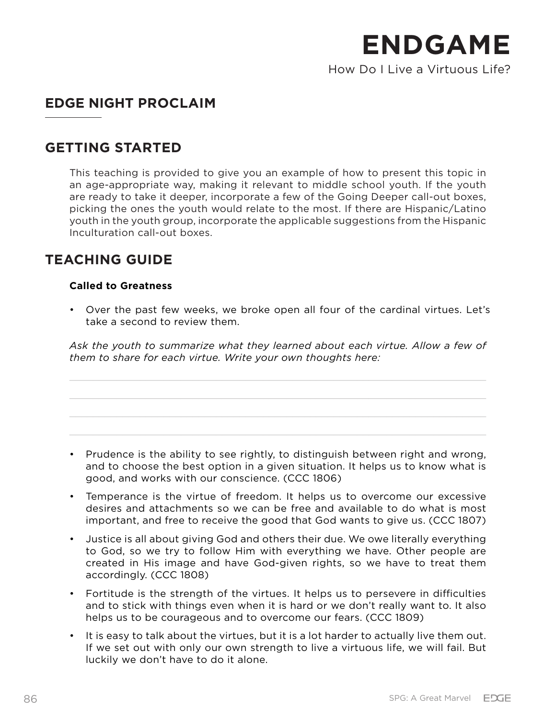How Do I Live a Virtuous Life?

# **EDGE NIGHT PROCLAIM**

## **GETTING STARTED**

This teaching is provided to give you an example of how to present this topic in an age-appropriate way, making it relevant to middle school youth. If the youth are ready to take it deeper, incorporate a few of the Going Deeper call-out boxes, picking the ones the youth would relate to the most. If there are Hispanic/Latino youth in the youth group, incorporate the applicable suggestions from the Hispanic Inculturation call-out boxes.

# **TEACHING GUIDE**

## **Called to Greatness**

• Over the past few weeks, we broke open all four of the cardinal virtues. Let's take a second to review them.

*Ask the youth to summarize what they learned about each virtue. Allow a few of them to share for each virtue. Write your own thoughts here:* 

- Prudence is the ability to see rightly, to distinguish between right and wrong, and to choose the best option in a given situation. It helps us to know what is good, and works with our conscience. (CCC 1806)
- Temperance is the virtue of freedom. It helps us to overcome our excessive desires and attachments so we can be free and available to do what is most important, and free to receive the good that God wants to give us. (CCC 1807)
- Justice is all about giving God and others their due. We owe literally everything to God, so we try to follow Him with everything we have. Other people are created in His image and have God-given rights, so we have to treat them accordingly. (CCC 1808)
- Fortitude is the strength of the virtues. It helps us to persevere in difficulties and to stick with things even when it is hard or we don't really want to. It also helps us to be courageous and to overcome our fears. (CCC 1809)
- It is easy to talk about the virtues, but it is a lot harder to actually live them out. If we set out with only our own strength to live a virtuous life, we will fail. But luckily we don't have to do it alone.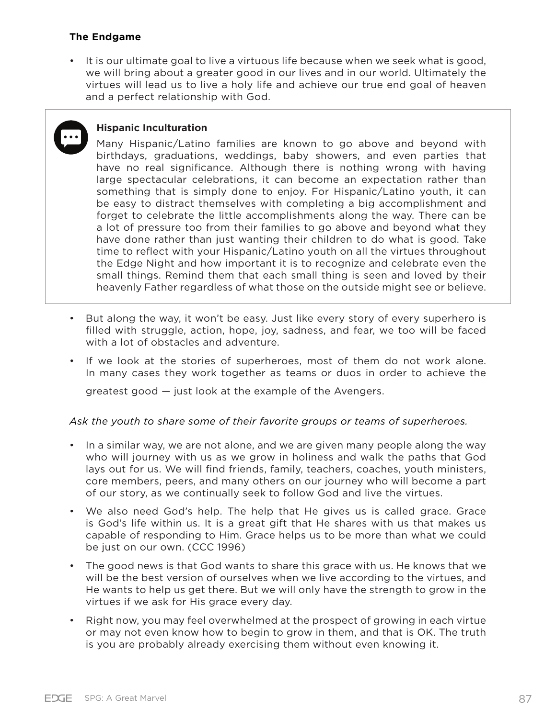#### **The Endgame**

• It is our ultimate goal to live a virtuous life because when we seek what is good, we will bring about a greater good in our lives and in our world. Ultimately the virtues will lead us to live a holy life and achieve our true end goal of heaven and a perfect relationship with God.

## **Hispanic Inculturation**

Many Hispanic/Latino families are known to go above and beyond with birthdays, graduations, weddings, baby showers, and even parties that have no real significance. Although there is nothing wrong with having large spectacular celebrations, it can become an expectation rather than something that is simply done to enjoy. For Hispanic/Latino youth, it can be easy to distract themselves with completing a big accomplishment and forget to celebrate the little accomplishments along the way. There can be a lot of pressure too from their families to go above and beyond what they have done rather than just wanting their children to do what is good. Take time to reflect with your Hispanic/Latino youth on all the virtues throughout the Edge Night and how important it is to recognize and celebrate even the small things. Remind them that each small thing is seen and loved by their heavenly Father regardless of what those on the outside might see or believe.

- But along the way, it won't be easy. Just like every story of every superhero is filled with struggle, action, hope, joy, sadness, and fear, we too will be faced with a lot of obstacles and adventure.
- If we look at the stories of superheroes, most of them do not work alone. In many cases they work together as teams or duos in order to achieve the

greatest good — just look at the example of the Avengers.

#### *Ask the youth to share some of their favorite groups or teams of superheroes.*

- In a similar way, we are not alone, and we are given many people along the way who will journey with us as we grow in holiness and walk the paths that God lays out for us. We will find friends, family, teachers, coaches, youth ministers, core members, peers, and many others on our journey who will become a part of our story, as we continually seek to follow God and live the virtues.
- We also need God's help. The help that He gives us is called grace. Grace is God's life within us. It is a great gift that He shares with us that makes us capable of responding to Him. Grace helps us to be more than what we could be just on our own. (CCC 1996)
- The good news is that God wants to share this grace with us. He knows that we will be the best version of ourselves when we live according to the virtues, and He wants to help us get there. But we will only have the strength to grow in the virtues if we ask for His grace every day.
- Right now, you may feel overwhelmed at the prospect of growing in each virtue or may not even know how to begin to grow in them, and that is OK. The truth is you are probably already exercising them without even knowing it.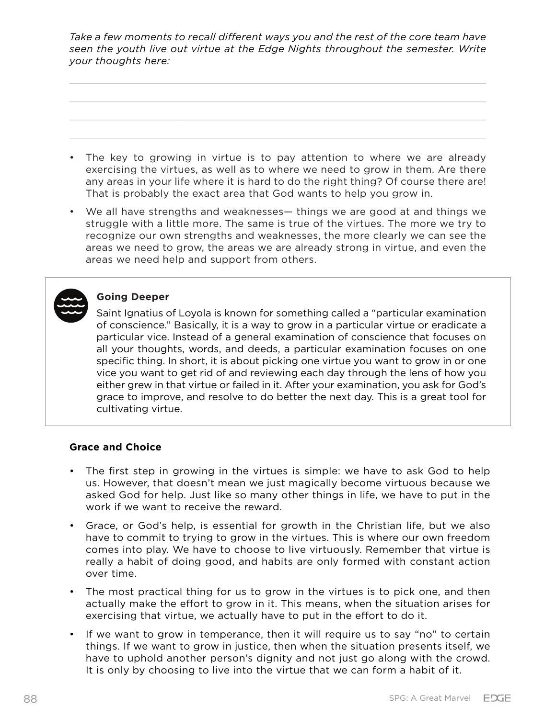*Take a few moments to recall different ways you and the rest of the core team have seen the youth live out virtue at the Edge Nights throughout the semester. Write your thoughts here:*

- The key to growing in virtue is to pay attention to where we are already exercising the virtues, as well as to where we need to grow in them. Are there any areas in your life where it is hard to do the right thing? Of course there are!
- We all have strengths and weaknesses— things we are good at and things we struggle with a little more. The same is true of the virtues. The more we try to recognize our own strengths and weaknesses, the more clearly we can see the areas we need to grow, the areas we are already strong in virtue, and even the areas we need help and support from others.

That is probably the exact area that God wants to help you grow in.



## **Going Deeper**

Saint Ignatius of Loyola is known for something called a "particular examination of conscience." Basically, it is a way to grow in a particular virtue or eradicate a particular vice. Instead of a general examination of conscience that focuses on all your thoughts, words, and deeds, a particular examination focuses on one specific thing. In short, it is about picking one virtue you want to grow in or one vice you want to get rid of and reviewing each day through the lens of how you either grew in that virtue or failed in it. After your examination, you ask for God's grace to improve, and resolve to do better the next day. This is a great tool for cultivating virtue.

## **Grace and Choice**

- The first step in growing in the virtues is simple: we have to ask God to help us. However, that doesn't mean we just magically become virtuous because we asked God for help. Just like so many other things in life, we have to put in the work if we want to receive the reward.
- Grace, or God's help, is essential for growth in the Christian life, but we also have to commit to trying to grow in the virtues. This is where our own freedom comes into play. We have to choose to live virtuously. Remember that virtue is really a habit of doing good, and habits are only formed with constant action over time.
- The most practical thing for us to grow in the virtues is to pick one, and then actually make the effort to grow in it. This means, when the situation arises for exercising that virtue, we actually have to put in the effort to do it.
- If we want to grow in temperance, then it will require us to say "no" to certain things. If we want to grow in justice, then when the situation presents itself, we have to uphold another person's dignity and not just go along with the crowd. It is only by choosing to live into the virtue that we can form a habit of it.